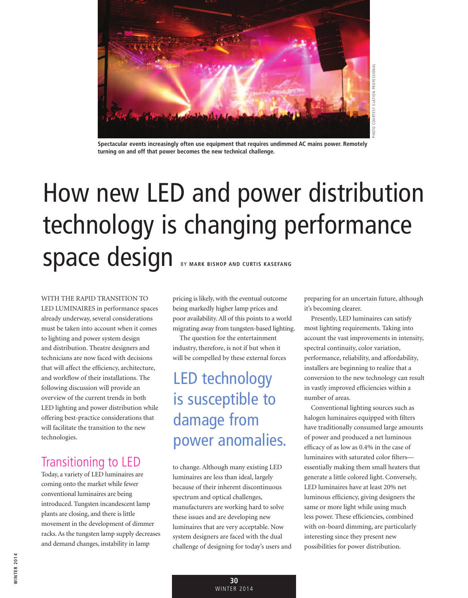

**Spectacular events increasingly often use equipment that requires undimmed AC mains power. Remotely turning on and off that power becomes the new technical challenge.**

# How new LED and power distribution technology is changing performance Space design BY MARK BISHOP AND CURTIS KASEFANG

WITH THE RAPID TRANSITION TO LED LUMINAIRES in performance spaces already underway, several considerations must be taken into account when it comes to lighting and power system design and distribution. Theatre designers and technicians are now faced with decisions that will affect the efficiency, architecture, and workflow of their installations. The following discussion will provide an overview of the current trends in both LED lighting and power distribution while offering best-practice considerations that will facilitate the transition to the new technologies.

### Transitioning to LED

Today, a variety of LED luminaires are coming onto the market while fewer conventional luminaires are being introduced. Tungsten incandescent lamp plants are closing, and there is little movement in the development of dimmer racks. As the tungsten lamp supply decreases and demand changes, instability in lamp

pricing is likely, with the eventual outcome being markedly higher lamp prices and poor availability. All of this points to a world migrating away from tungsten-based lighting.

The question for the entertainment industry, therefore, is not if but when it will be compelled by these external forces

## LED technology is susceptible to damage from power anomalies.

to change. Although many existing LED luminaires are less than ideal, largely because of their inherent discontinuous spectrum and optical challenges, manufacturers are working hard to solve these issues and are developing new luminaires that are very acceptable. Now system designers are faced with the dual challenge of designing for today's users and preparing for an uncertain future, although it's becoming clearer.

Presently, LED luminaires can satisfy most lighting requirements. Taking into account the vast improvements in intensity, spectral continuity, color variation, performance, reliability, and affordability, installers are beginning to realize that a conversion to the new technology can result in vastly improved efficiencies within a number of areas.

Conventional lighting sources such as halogen luminaires equipped with filters have traditionally consumed large amounts of power and produced a net luminous efficacy of as low as 0.4% in the case of luminaires with saturated color filters essentially making them small heaters that generate a little colored light. Conversely, LED luminaires have at least 20% net luminous efficiency, giving designers the same or more light while using much less power. These efficiencies, combined with on-board dimming, are particularly interesting since they present new possibilities for power distribution.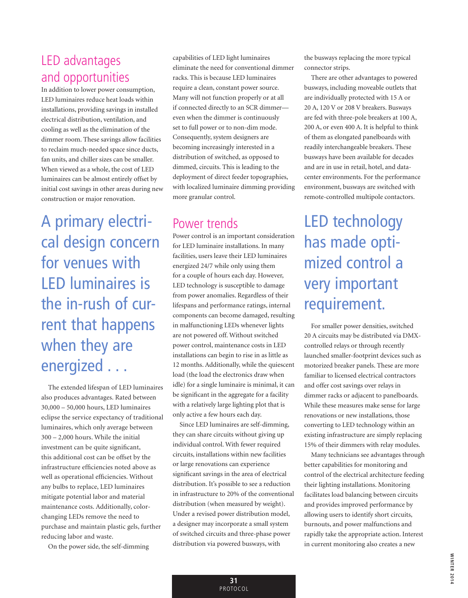#### LED advantages and opportunities

In addition to lower power consumption, LED luminaires reduce heat loads within installations, providing savings in installed electrical distribution, ventilation, and cooling as well as the elimination of the dimmer room. These savings allow facilities to reclaim much-needed space since ducts, fan units, and chiller sizes can be smaller. When viewed as a whole, the cost of LED luminaires can be almost entirely offset by initial cost savings in other areas during new construction or major renovation.

A primary electrical design concern for venues with LED luminaires is the in-rush of current that happens when they are energized . . .

The extended lifespan of LED luminaires also produces advantages. Rated between 30,000 – 50,000 hours, LED luminaires eclipse the service expectancy of traditional luminaires, which only average between 300 – 2,000 hours. While the initial investment can be quite significant, this additional cost can be offset by the infrastructure efficiencies noted above as well as operational efficiencies. Without any bulbs to replace, LED luminaires mitigate potential labor and material maintenance costs. Additionally, colorchanging LEDs remove the need to purchase and maintain plastic gels, further reducing labor and waste.

On the power side, the self-dimming

capabilities of LED light luminaires eliminate the need for conventional dimmer racks. This is because LED luminaires require a clean, constant power source. Many will not function properly or at all if connected directly to an SCR dimmer even when the dimmer is continuously set to full power or to non-dim mode. Consequently, system designers are becoming increasingly interested in a distribution of switched, as opposed to dimmed, circuits. This is leading to the deployment of direct feeder topographies, with localized luminaire dimming providing more granular control.

#### Power trends

Power control is an important consideration for LED luminaire installations. In many facilities, users leave their LED luminaires energized 24/7 while only using them for a couple of hours each day. However, LED technology is susceptible to damage from power anomalies. Regardless of their lifespans and performance ratings, internal components can become damaged, resulting in malfunctioning LEDs whenever lights are not powered off. Without switched power control, maintenance costs in LED installations can begin to rise in as little as 12 months. Additionally, while the quiescent load (the load the electronics draw when idle) for a single luminaire is minimal, it can be significant in the aggregate for a facility with a relatively large lighting plot that is only active a few hours each day.

Since LED luminaires are self-dimming, they can share circuits without giving up individual control. With fewer required circuits, installations within new facilities or large renovations can experience significant savings in the area of electrical distribution. It's possible to see a reduction in infrastructure to 20% of the conventional distribution (when measured by weight). Under a revised power distribution model, a designer may incorporate a small system of switched circuits and three-phase power distribution via powered busways, with

the busways replacing the more typical connector strips.

There are other advantages to powered busways, including moveable outlets that are individually protected with 15 A or 20 A, 120 V or 208 V breakers. Busways are fed with three-pole breakers at 100 A, 200 A, or even 400 A. It is helpful to think of them as elongated panelboards with readily interchangeable breakers. These busways have been available for decades and are in use in retail, hotel, and datacenter environments. For the performance environment, busways are switched with remote-controlled multipole contactors.

LED technology has made optimized control a very important requirement.

For smaller power densities, switched 20 A circuits may be distributed via DMXcontrolled relays or through recently launched smaller-footprint devices such as motorized breaker panels. These are more familiar to licensed electrical contractors and offer cost savings over relays in dimmer racks or adjacent to panelboards. While these measures make sense for large renovations or new installations, those converting to LED technology within an existing infrastructure are simply replacing 15% of their dimmers with relay modules.

Many technicians see advantages through better capabilities for monitoring and control of the electrical architecture feeding their lighting installations. Monitoring facilitates load balancing between circuits and provides improved performance by allowing users to identify short circuits, burnouts, and power malfunctions and rapidly take the appropriate action. Interest in current monitoring also creates a new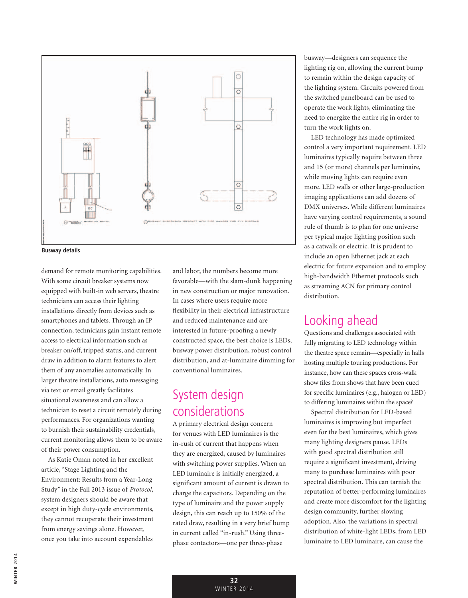



demand for remote monitoring capabilities. With some circuit breaker systems now equipped with built-in web servers, theatre technicians can access their lighting installations directly from devices such as smartphones and tablets. Through an IP connection, technicians gain instant remote access to electrical information such as breaker on/off, tripped status, and current draw in addition to alarm features to alert them of any anomalies automatically. In larger theatre installations, auto messaging via text or email greatly facilitates situational awareness and can allow a technician to reset a circuit remotely during performances. For organizations wanting to burnish their sustainability credentials, current monitoring allows them to be aware of their power consumption.

As Katie Oman noted in her excellent article, "Stage Lighting and the Environment: Results from a Year-Long Study" in the Fall 2013 issue of *Protocol*, system designers should be aware that except in high duty-cycle environments, they cannot recuperate their investment from energy savings alone. However, once you take into account expendables and labor, the numbers become more favorable—with the slam-dunk happening in new construction or major renovation. In cases where users require more flexibility in their electrical infrastructure and reduced maintenance and are interested in future-proofing a newly constructed space, the best choice is LEDs, busway power distribution, robust control distribution, and at-luminaire dimming for conventional luminaires.

#### System design considerations

A primary electrical design concern for venues with LED luminaires is the in-rush of current that happens when they are energized, caused by luminaires with switching power supplies. When an LED luminaire is initially energized, a significant amount of current is drawn to charge the capacitors. Depending on the type of luminaire and the power supply design, this can reach up to 150% of the rated draw, resulting in a very brief bump in current called "in-rush." Using threephase contactors—one per three-phase

busway—designers can sequence the lighting rig on, allowing the current bump to remain within the design capacity of the lighting system. Circuits powered from the switched panelboard can be used to operate the work lights, eliminating the need to energize the entire rig in order to turn the work lights on.

LED technology has made optimized control a very important requirement. LED luminaires typically require between three and 15 (or more) channels per luminaire, while moving lights can require even more. LED walls or other large-production imaging applications can add dozens of DMX universes. While different luminaires have varying control requirements, a sound rule of thumb is to plan for one universe per typical major lighting position such as a catwalk or electric. It is prudent to include an open Ethernet jack at each electric for future expansion and to employ high-bandwidth Ethernet protocols such as streaming ACN for primary control distribution.

#### Looking ahead

Questions and challenges associated with fully migrating to LED technology within the theatre space remain—especially in halls hosting multiple touring productions. For instance, how can these spaces cross-walk show files from shows that have been cued for specific luminaires (e.g., halogen or LED) to differing luminaires within the space?

Spectral distribution for LED-based luminaires is improving but imperfect even for the best luminaires, which gives many lighting designers pause. LEDs with good spectral distribution still require a significant investment, driving many to purchase luminaires with poor spectral distribution. This can tarnish the reputation of better-performing luminaires and create more discomfort for the lighting design community, further slowing adoption. Also, the variations in spectral distribution of white-light LEDs, from LED luminaire to LED luminaire, can cause the